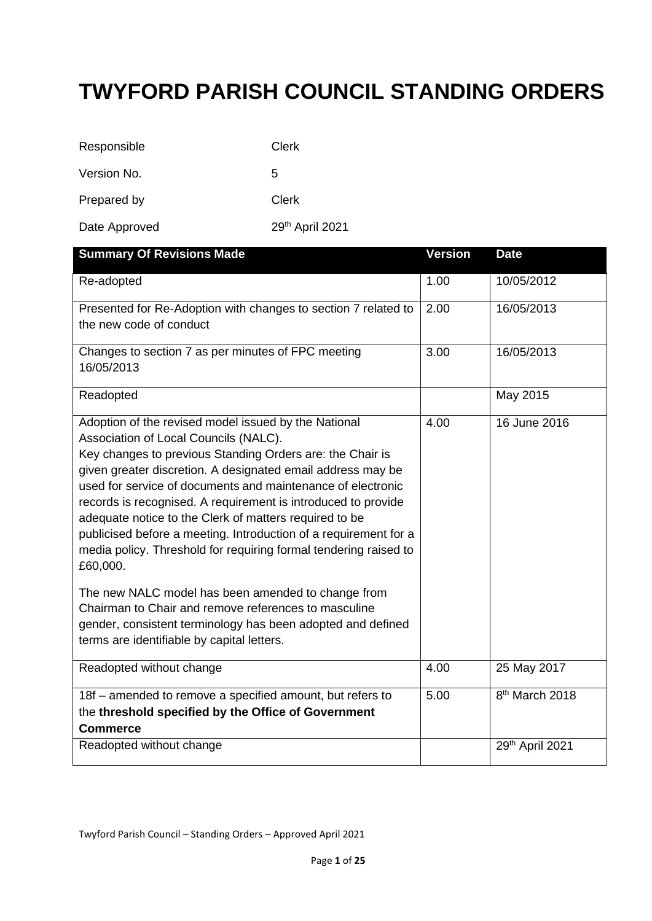## **TWYFORD PARISH COUNCIL STANDING ORDERS**

| Responsible   | Clerk           |
|---------------|-----------------|
| Version No.   | 5               |
| Prepared by   | Clerk           |
| Date Approved | 29th April 2021 |

| <b>Summary Of Revisions Made</b>                                                                                           | <b>Version</b> | <b>Date</b>                |
|----------------------------------------------------------------------------------------------------------------------------|----------------|----------------------------|
| Re-adopted                                                                                                                 | 1.00           | 10/05/2012                 |
| Presented for Re-Adoption with changes to section 7 related to                                                             | 2.00           | 16/05/2013                 |
| the new code of conduct                                                                                                    |                |                            |
| Changes to section 7 as per minutes of FPC meeting                                                                         | 3.00           | 16/05/2013                 |
| 16/05/2013                                                                                                                 |                |                            |
| Readopted                                                                                                                  |                | May 2015                   |
| Adoption of the revised model issued by the National                                                                       | 4.00           | 16 June 2016               |
| Association of Local Councils (NALC).                                                                                      |                |                            |
| Key changes to previous Standing Orders are: the Chair is                                                                  |                |                            |
| given greater discretion. A designated email address may be<br>used for service of documents and maintenance of electronic |                |                            |
| records is recognised. A requirement is introduced to provide                                                              |                |                            |
| adequate notice to the Clerk of matters required to be                                                                     |                |                            |
| publicised before a meeting. Introduction of a requirement for a                                                           |                |                            |
| media policy. Threshold for requiring formal tendering raised to                                                           |                |                            |
| £60,000.                                                                                                                   |                |                            |
| The new NALC model has been amended to change from                                                                         |                |                            |
| Chairman to Chair and remove references to masculine                                                                       |                |                            |
| gender, consistent terminology has been adopted and defined                                                                |                |                            |
| terms are identifiable by capital letters.                                                                                 |                |                            |
| Readopted without change                                                                                                   | 4.00           | 25 May 2017                |
|                                                                                                                            |                |                            |
| 18f - amended to remove a specified amount, but refers to                                                                  | 5.00           | 8 <sup>th</sup> March 2018 |
| the threshold specified by the Office of Government                                                                        |                |                            |
| <b>Commerce</b>                                                                                                            |                |                            |
| Readopted without change                                                                                                   |                | 29th April 2021            |
|                                                                                                                            |                |                            |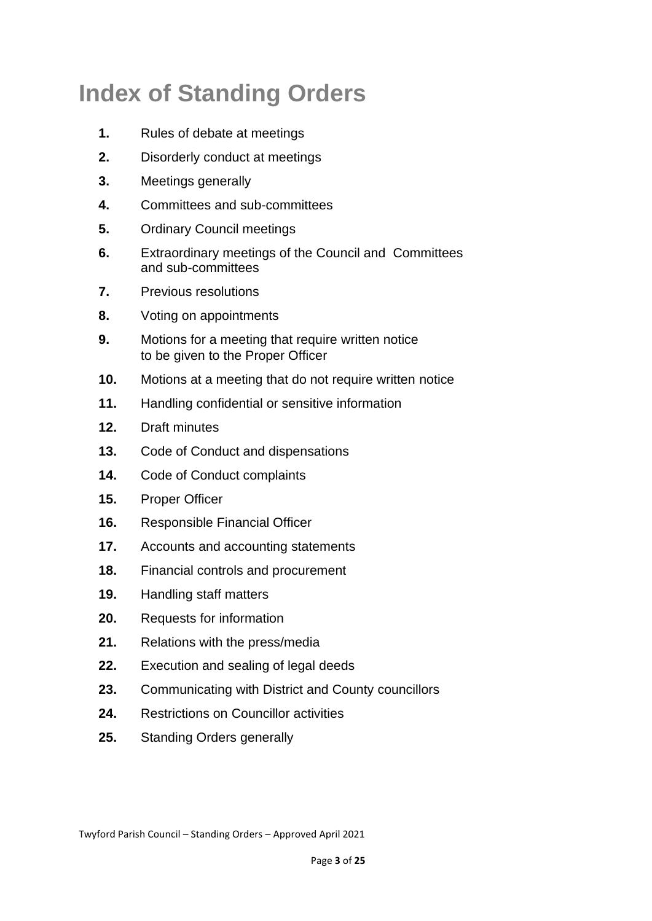# **Index of Standing Orders**

- **1.** Rules of debate at meetings
- **2.** Disorderly conduct at meetings
- **3.** Meetings generally
- **4.** Committees and sub-committees
- **5.** Ordinary Council meetings
- **6.** Extraordinary meetings of the Council and Committees and sub-committees
- **7.** Previous resolutions
- **8.** Voting on appointments
- **9.** Motions for a meeting that require written notice to be given to the Proper Officer
- **10.** Motions at a meeting that do not require written notice
- **11.** Handling confidential or sensitive information
- **12.** Draft minutes
- **13.** Code of Conduct and dispensations
- **14.** Code of Conduct complaints
- **15.** Proper Officer
- **16.** Responsible Financial Officer
- **17.** Accounts and accounting statements
- **18.** Financial controls and procurement
- **19.** Handling staff matters
- **20.** Requests for information
- **21.** Relations with the press/media
- 22. Execution and sealing of legal deeds
- **23.** Communicating with District and County councillors
- **24.** Restrictions on Councillor activities
- **25.** Standing Orders generally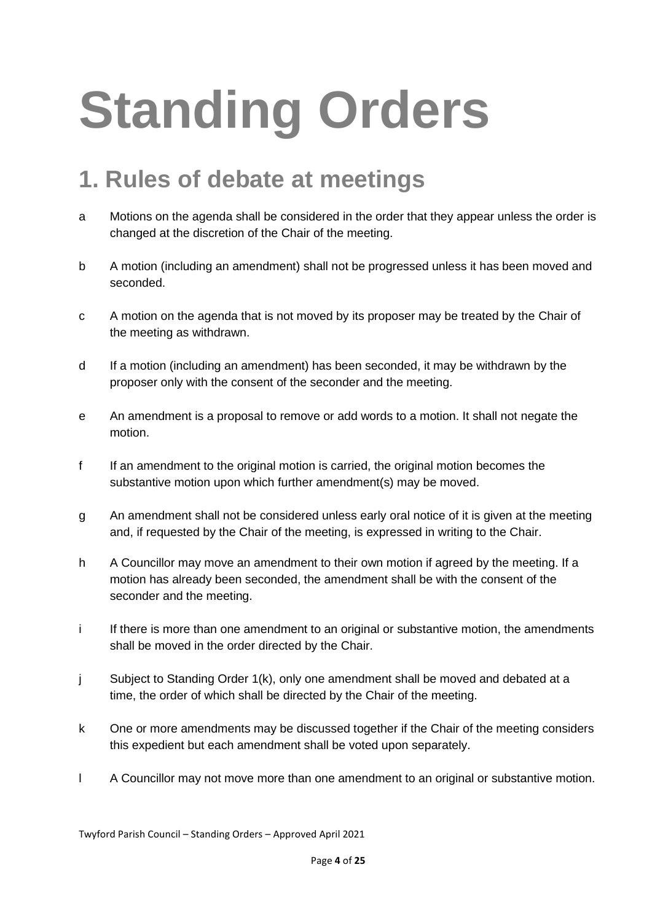# **Standing Orders**

## **1. Rules of debate at meetings**

- a Motions on the agenda shall be considered in the order that they appear unless the order is changed at the discretion of the Chair of the meeting.
- b A motion (including an amendment) shall not be progressed unless it has been moved and seconded.
- c A motion on the agenda that is not moved by its proposer may be treated by the Chair of the meeting as withdrawn.
- d If a motion (including an amendment) has been seconded, it may be withdrawn by the proposer only with the consent of the seconder and the meeting.
- e An amendment is a proposal to remove or add words to a motion. It shall not negate the motion.
- f If an amendment to the original motion is carried, the original motion becomes the substantive motion upon which further amendment(s) may be moved.
- g An amendment shall not be considered unless early oral notice of it is given at the meeting and, if requested by the Chair of the meeting, is expressed in writing to the Chair.
- h A Councillor may move an amendment to their own motion if agreed by the meeting. If a motion has already been seconded, the amendment shall be with the consent of the seconder and the meeting.
- i If there is more than one amendment to an original or substantive motion, the amendments shall be moved in the order directed by the Chair.
- j Subject to Standing Order 1(k), only one amendment shall be moved and debated at a time, the order of which shall be directed by the Chair of the meeting.
- k One or more amendments may be discussed together if the Chair of the meeting considers this expedient but each amendment shall be voted upon separately.
- l A Councillor may not move more than one amendment to an original or substantive motion.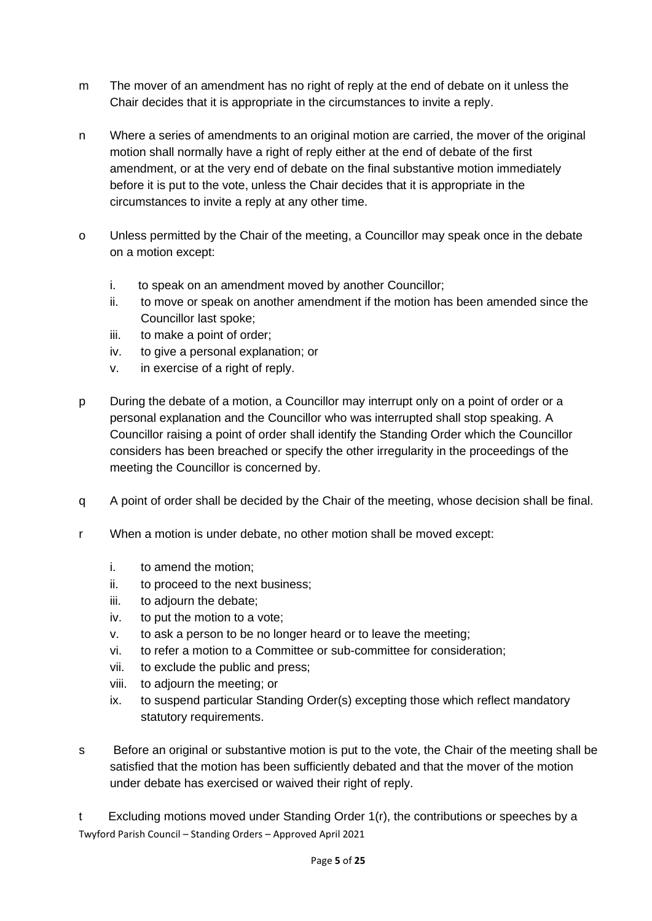- m The mover of an amendment has no right of reply at the end of debate on it unless the Chair decides that it is appropriate in the circumstances to invite a reply.
- n Where a series of amendments to an original motion are carried, the mover of the original motion shall normally have a right of reply either at the end of debate of the first amendment, or at the very end of debate on the final substantive motion immediately before it is put to the vote, unless the Chair decides that it is appropriate in the circumstances to invite a reply at any other time.
- o Unless permitted by the Chair of the meeting, a Councillor may speak once in the debate on a motion except:
	- i. to speak on an amendment moved by another Councillor;
	- ii. to move or speak on another amendment if the motion has been amended since the Councillor last spoke;
	- iii. to make a point of order;
	- iv. to give a personal explanation; or
	- v. in exercise of a right of reply.
- p During the debate of a motion, a Councillor may interrupt only on a point of order or a personal explanation and the Councillor who was interrupted shall stop speaking. A Councillor raising a point of order shall identify the Standing Order which the Councillor considers has been breached or specify the other irregularity in the proceedings of the meeting the Councillor is concerned by.
- q A point of order shall be decided by the Chair of the meeting, whose decision shall be final.
- r When a motion is under debate, no other motion shall be moved except:
	- i. to amend the motion;
	- ii. to proceed to the next business;
	- iii. to adjourn the debate;
	- iv. to put the motion to a vote;
	- v. to ask a person to be no longer heard or to leave the meeting;
	- vi. to refer a motion to a Committee or sub-committee for consideration;
	- vii. to exclude the public and press;
	- viii. to adjourn the meeting; or
	- ix. to suspend particular Standing Order(s) excepting those which reflect mandatory statutory requirements.
- s Before an original or substantive motion is put to the vote, the Chair of the meeting shall be satisfied that the motion has been sufficiently debated and that the mover of the motion under debate has exercised or waived their right of reply.

Twyford Parish Council – Standing Orders – Approved April 2021 t Excluding motions moved under Standing Order 1(r), the contributions or speeches by a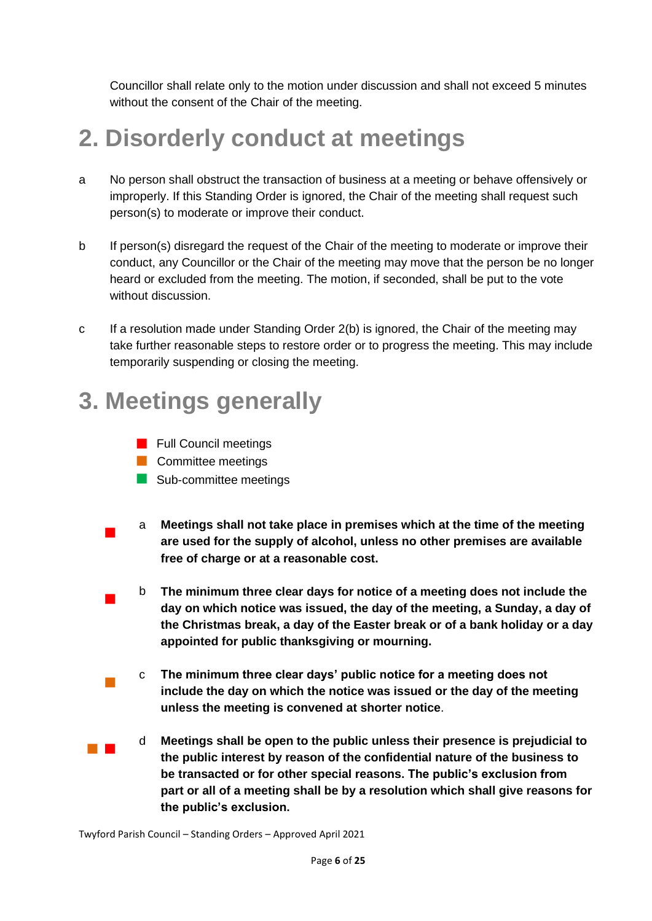Councillor shall relate only to the motion under discussion and shall not exceed 5 minutes without the consent of the Chair of the meeting.

# **2. Disorderly conduct at meetings**

- a No person shall obstruct the transaction of business at a meeting or behave offensively or improperly. If this Standing Order is ignored, the Chair of the meeting shall request such person(s) to moderate or improve their conduct.
- b If person(s) disregard the request of the Chair of the meeting to moderate or improve their conduct, any Councillor or the Chair of the meeting may move that the person be no longer heard or excluded from the meeting. The motion, if seconded, shall be put to the vote without discussion.
- c If a resolution made under Standing Order 2(b) is ignored, the Chair of the meeting may take further reasonable steps to restore order or to progress the meeting. This may include temporarily suspending or closing the meeting.

## **3. Meetings generally**



**Committee meetings** 

 $\blacksquare$ 

 $\mathbb{R}^3$ 

- Sub-committee meetings
- $\blacksquare$ a **Meetings shall not take place in premises which at the time of the meeting are used for the supply of alcohol, unless no other premises are available free of charge or at a reasonable cost.** 
	- b **The minimum three clear days for notice of a meeting does not include the day on which notice was issued, the day of the meeting, a Sunday, a day of the Christmas break, a day of the Easter break or of a bank holiday or a day appointed for public thanksgiving or mourning.**
	- c **The minimum three clear days' public notice for a meeting does not include the day on which the notice was issued or the day of the meeting unless the meeting is convened at shorter notice**.
- **The Co** d **Meetings shall be open to the public unless their presence is prejudicial to the public interest by reason of the confidential nature of the business to be transacted or for other special reasons. The public's exclusion from part or all of a meeting shall be by a resolution which shall give reasons for the public's exclusion.**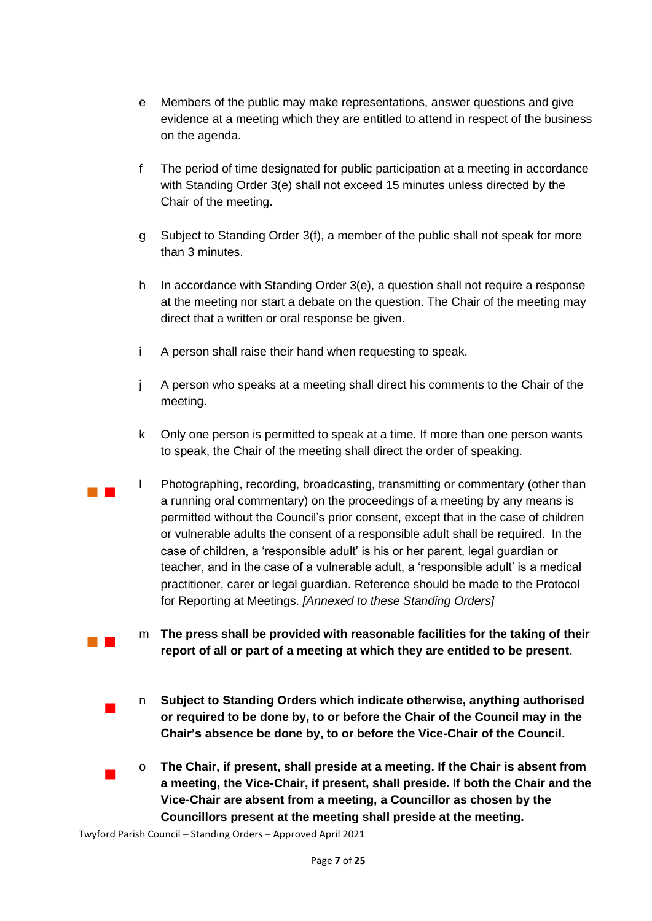- e Members of the public may make representations, answer questions and give evidence at a meeting which they are entitled to attend in respect of the business on the agenda.
- f The period of time designated for public participation at a meeting in accordance with Standing Order 3(e) shall not exceed 15 minutes unless directed by the Chair of the meeting.
- g Subject to Standing Order 3(f), a member of the public shall not speak for more than 3 minutes.
- h In accordance with Standing Order 3(e), a question shall not require a response at the meeting nor start a debate on the question. The Chair of the meeting may direct that a written or oral response be given.
- i A person shall raise their hand when requesting to speak.
- j A person who speaks at a meeting shall direct his comments to the Chair of the meeting.
- k Only one person is permitted to speak at a time. If more than one person wants to speak, the Chair of the meeting shall direct the order of speaking.
- $\mathcal{L}_{\mathcal{A}}$ l Photographing, recording, broadcasting, transmitting or commentary (other than a running oral commentary) on the proceedings of a meeting by any means is permitted without the Council's prior consent, except that in the case of children or vulnerable adults the consent of a responsible adult shall be required. In the case of children, a 'responsible adult' is his or her parent, legal guardian or teacher, and in the case of a vulnerable adult, a 'responsible adult' is a medical practitioner, carer or legal guardian. Reference should be made to the Protocol for Reporting at Meetings. *[Annexed to these Standing Orders]*
	- m **The press shall be provided with reasonable facilities for the taking of their report of all or part of a meeting at which they are entitled to be present**.
		- n **Subject to Standing Orders which indicate otherwise, anything authorised or required to be done by, to or before the Chair of the Council may in the Chair's absence be done by, to or before the Vice-Chair of the Council.**
	- o **The Chair, if present, shall preside at a meeting. If the Chair is absent from a meeting, the Vice-Chair, if present, shall preside. If both the Chair and the Vice-Chair are absent from a meeting, a Councillor as chosen by the Councillors present at the meeting shall preside at the meeting.**

 $\mathcal{L}_{\text{max}}$ 

 $\blacksquare$ 

 $\mathcal{L}_{\mathcal{A}}$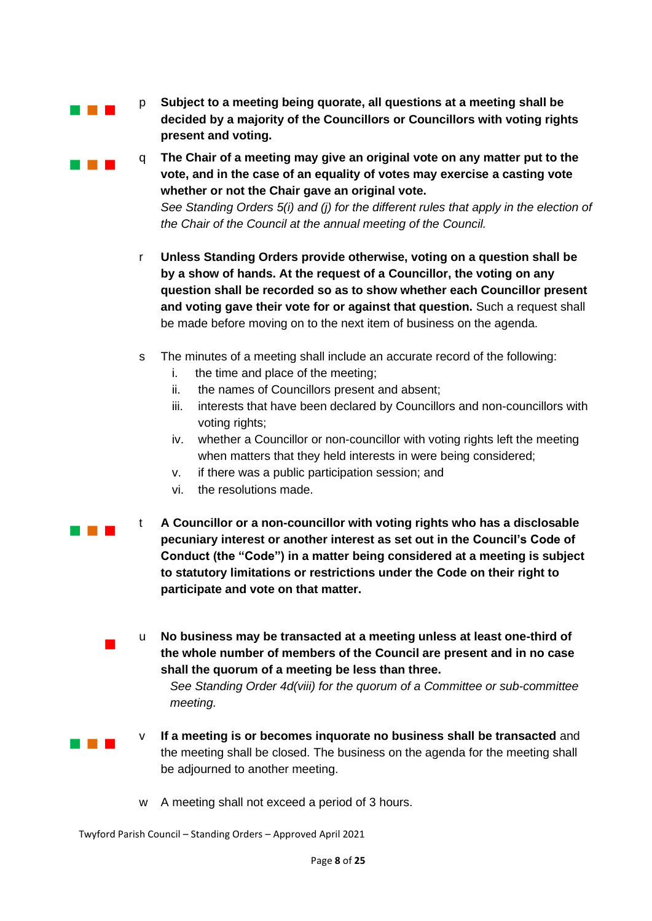

**Contract Contract** 

p **Subject to a meeting being quorate, all questions at a meeting shall be decided by a majority of the Councillors or Councillors with voting rights present and voting.**

q **The Chair of a meeting may give an original vote on any matter put to the vote, and in the case of an equality of votes may exercise a casting vote whether or not the Chair gave an original vote.** *See Standing Orders 5(i) and (j) for the different rules that apply in the election of the Chair of the Council at the annual meeting of the Council.*

- r **Unless Standing Orders provide otherwise, voting on a question shall be by a show of hands. At the request of a Councillor, the voting on any question shall be recorded so as to show whether each Councillor present and voting gave their vote for or against that question.** Such a request shall be made before moving on to the next item of business on the agenda.
- s The minutes of a meeting shall include an accurate record of the following:
	- i. the time and place of the meeting;
	- ii. the names of Councillors present and absent;
	- iii. interests that have been declared by Councillors and non-councillors with voting rights;
	- iv. whether a Councillor or non-councillor with voting rights left the meeting when matters that they held interests in were being considered;
	- v. if there was a public participation session; and
	- vi. the resolutions made.
- a na m t **A Councillor or a non-councillor with voting rights who has a disclosable pecuniary interest or another interest as set out in the Council's Code of Conduct (the "Code") in a matter being considered at a meeting is subject to statutory limitations or restrictions under the Code on their right to participate and vote on that matter.**
	- u **No business may be transacted at a meeting unless at least one-third of the whole number of members of the Council are present and in no case shall the quorum of a meeting be less than three.**

*See Standing Order 4d(viii) for the quorum of a Committee or sub-committee meeting.* 

**Contract Contract** 

 $\blacksquare$ 

- v **If a meeting is or becomes inquorate no business shall be transacted** and the meeting shall be closed. The business on the agenda for the meeting shall be adjourned to another meeting.
- w A meeting shall not exceed a period of 3 hours.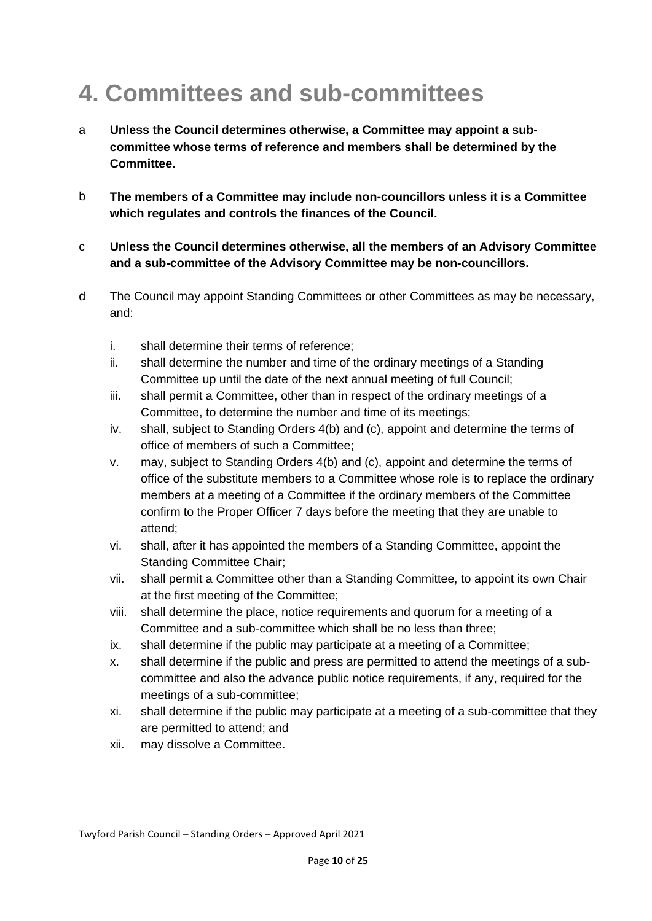# **4. Committees and sub-committees**

- a **Unless the Council determines otherwise, a Committee may appoint a subcommittee whose terms of reference and members shall be determined by the Committee.**
- b **The members of a Committee may include non-councillors unless it is a Committee which regulates and controls the finances of the Council.**
- c **Unless the Council determines otherwise, all the members of an Advisory Committee and a sub-committee of the Advisory Committee may be non-councillors.**
- d The Council may appoint Standing Committees or other Committees as may be necessary, and:
	- i. shall determine their terms of reference;
	- ii. shall determine the number and time of the ordinary meetings of a Standing Committee up until the date of the next annual meeting of full Council;
	- iii. shall permit a Committee, other than in respect of the ordinary meetings of a Committee, to determine the number and time of its meetings;
	- iv. shall, subject to Standing Orders 4(b) and (c), appoint and determine the terms of office of members of such a Committee;
	- v. may, subject to Standing Orders 4(b) and (c), appoint and determine the terms of office of the substitute members to a Committee whose role is to replace the ordinary members at a meeting of a Committee if the ordinary members of the Committee confirm to the Proper Officer 7 days before the meeting that they are unable to attend;
	- vi. shall, after it has appointed the members of a Standing Committee, appoint the Standing Committee Chair;
	- vii. shall permit a Committee other than a Standing Committee, to appoint its own Chair at the first meeting of the Committee;
	- viii. shall determine the place, notice requirements and quorum for a meeting of a Committee and a sub-committee which shall be no less than three;
	- ix. shall determine if the public may participate at a meeting of a Committee;
	- x. shall determine if the public and press are permitted to attend the meetings of a subcommittee and also the advance public notice requirements, if any, required for the meetings of a sub-committee;
	- xi. shall determine if the public may participate at a meeting of a sub-committee that they are permitted to attend; and
	- xii. may dissolve a Committee.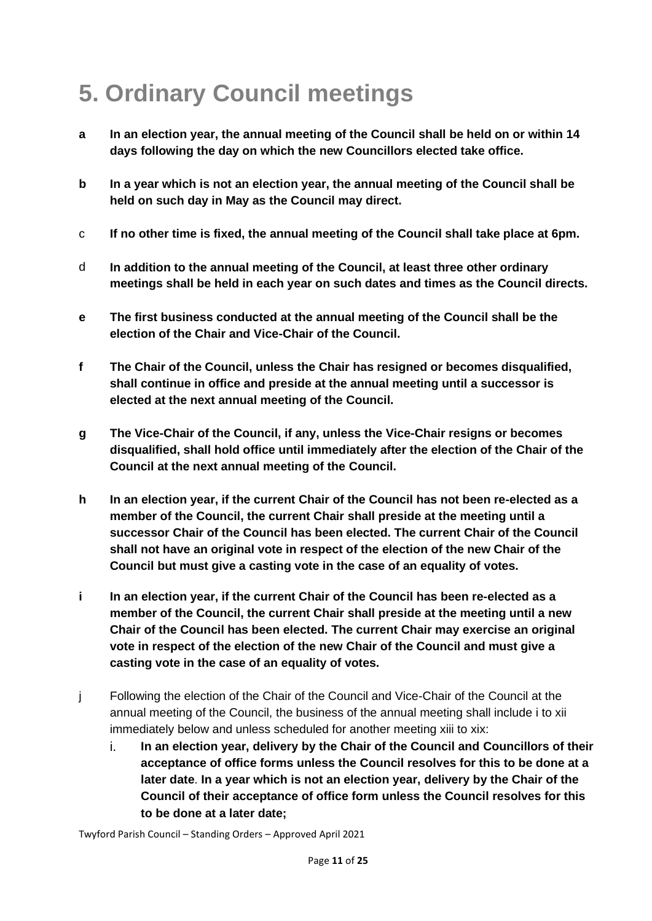# **5. Ordinary Council meetings**

- **a In an election year, the annual meeting of the Council shall be held on or within 14 days following the day on which the new Councillors elected take office.**
- **b In a year which is not an election year, the annual meeting of the Council shall be held on such day in May as the Council may direct.**
- c **If no other time is fixed, the annual meeting of the Council shall take place at 6pm.**
- d **In addition to the annual meeting of the Council, at least three other ordinary meetings shall be held in each year on such dates and times as the Council directs.**
- **e The first business conducted at the annual meeting of the Council shall be the election of the Chair and Vice-Chair of the Council.**
- **f The Chair of the Council, unless the Chair has resigned or becomes disqualified, shall continue in office and preside at the annual meeting until a successor is elected at the next annual meeting of the Council.**
- **g The Vice-Chair of the Council, if any, unless the Vice-Chair resigns or becomes disqualified, shall hold office until immediately after the election of the Chair of the Council at the next annual meeting of the Council.**
- **h In an election year, if the current Chair of the Council has not been re-elected as a member of the Council, the current Chair shall preside at the meeting until a successor Chair of the Council has been elected. The current Chair of the Council shall not have an original vote in respect of the election of the new Chair of the Council but must give a casting vote in the case of an equality of votes.**
- **i In an election year, if the current Chair of the Council has been re-elected as a member of the Council, the current Chair shall preside at the meeting until a new Chair of the Council has been elected. The current Chair may exercise an original vote in respect of the election of the new Chair of the Council and must give a casting vote in the case of an equality of votes.**
- j Following the election of the Chair of the Council and Vice-Chair of the Council at the annual meeting of the Council, the business of the annual meeting shall include i to xii immediately below and unless scheduled for another meeting xiii to xix:
	- i. **In an election year, delivery by the Chair of the Council and Councillors of their acceptance of office forms unless the Council resolves for this to be done at a later date**. **In a year which is not an election year, delivery by the Chair of the Council of their acceptance of office form unless the Council resolves for this to be done at a later date;**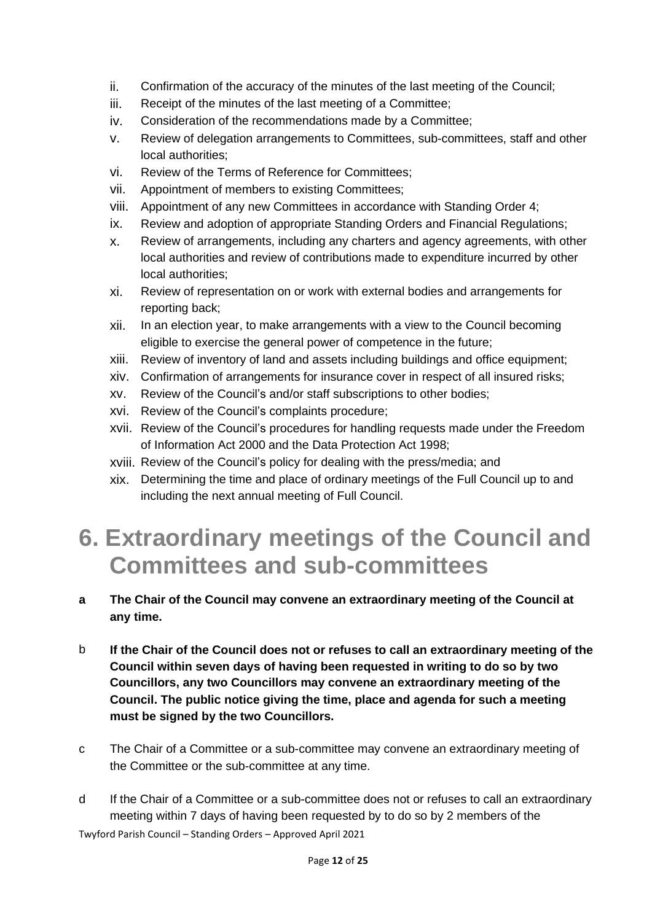- ii. Confirmation of the accuracy of the minutes of the last meeting of the Council;
- iii. Receipt of the minutes of the last meeting of a Committee;
- iv. Consideration of the recommendations made by a Committee;
- v. Review of delegation arrangements to Committees, sub-committees, staff and other local authorities;
- vi. Review of the Terms of Reference for Committees;
- vii. Appointment of members to existing Committees;
- viii. Appointment of any new Committees in accordance with Standing Order 4;
- ix. Review and adoption of appropriate Standing Orders and Financial Regulations;
- x. Review of arrangements, including any charters and agency agreements, with other local authorities and review of contributions made to expenditure incurred by other local authorities;
- xi. Review of representation on or work with external bodies and arrangements for reporting back;
- xii. In an election year, to make arrangements with a view to the Council becoming eligible to exercise the general power of competence in the future;
- xiii. Review of inventory of land and assets including buildings and office equipment;
- xiv. Confirmation of arrangements for insurance cover in respect of all insured risks;
- xv. Review of the Council's and/or staff subscriptions to other bodies;
- xvi. Review of the Council's complaints procedure;
- xvii. Review of the Council's procedures for handling requests made under the Freedom of Information Act 2000 and the Data Protection Act 1998;
- xviii. Review of the Council's policy for dealing with the press/media; and
- xix. Determining the time and place of ordinary meetings of the Full Council up to and including the next annual meeting of Full Council.

## **6. Extraordinary meetings of the Council and Committees and sub-committees**

#### **a The Chair of the Council may convene an extraordinary meeting of the Council at any time.**

- b **If the Chair of the Council does not or refuses to call an extraordinary meeting of the Council within seven days of having been requested in writing to do so by two Councillors, any two Councillors may convene an extraordinary meeting of the Council. The public notice giving the time, place and agenda for such a meeting must be signed by the two Councillors.**
- c The Chair of a Committee or a sub-committee may convene an extraordinary meeting of the Committee or the sub-committee at any time.
- Twyford Parish Council Standing Orders Approved April 2021 d If the Chair of a Committee or a sub-committee does not or refuses to call an extraordinary meeting within 7 days of having been requested by to do so by 2 members of the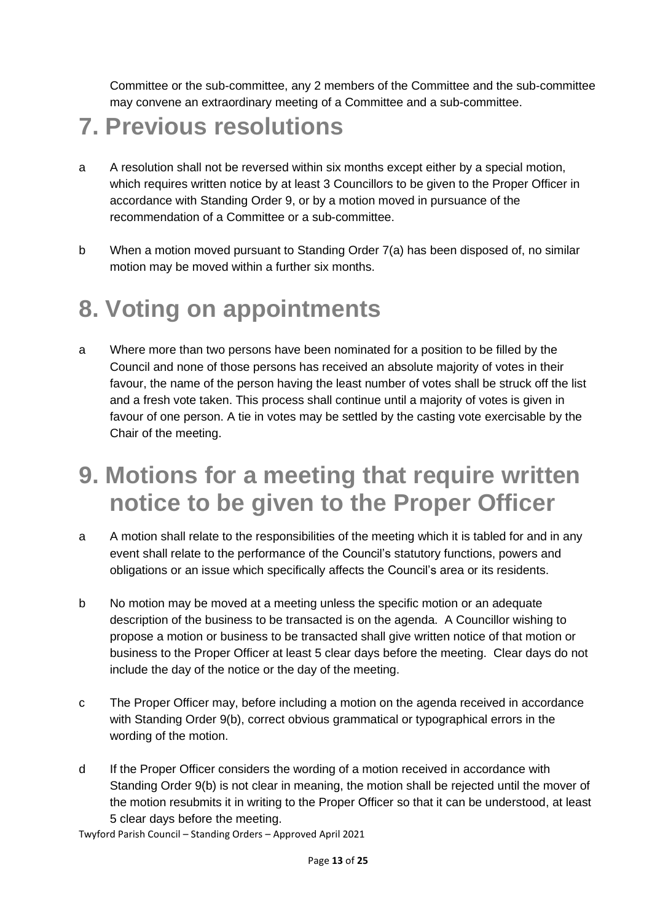Committee or the sub-committee, any 2 members of the Committee and the sub-committee may convene an extraordinary meeting of a Committee and a sub-committee.

#### **7. Previous resolutions**

- a A resolution shall not be reversed within six months except either by a special motion, which requires written notice by at least 3 Councillors to be given to the Proper Officer in accordance with Standing Order 9, or by a motion moved in pursuance of the recommendation of a Committee or a sub-committee.
- b When a motion moved pursuant to Standing Order 7(a) has been disposed of, no similar motion may be moved within a further six months.

## **8. Voting on appointments**

a Where more than two persons have been nominated for a position to be filled by the Council and none of those persons has received an absolute majority of votes in their favour, the name of the person having the least number of votes shall be struck off the list and a fresh vote taken. This process shall continue until a majority of votes is given in favour of one person. A tie in votes may be settled by the casting vote exercisable by the Chair of the meeting.

## **9. Motions for a meeting that require written notice to be given to the Proper Officer**

- a A motion shall relate to the responsibilities of the meeting which it is tabled for and in any event shall relate to the performance of the Council's statutory functions, powers and obligations or an issue which specifically affects the Council's area or its residents.
- b No motion may be moved at a meeting unless the specific motion or an adequate description of the business to be transacted is on the agenda. A Councillor wishing to propose a motion or business to be transacted shall give written notice of that motion or business to the Proper Officer at least 5 clear days before the meeting. Clear days do not include the day of the notice or the day of the meeting.
- c The Proper Officer may, before including a motion on the agenda received in accordance with Standing Order 9(b), correct obvious grammatical or typographical errors in the wording of the motion.
- d If the Proper Officer considers the wording of a motion received in accordance with Standing Order 9(b) is not clear in meaning, the motion shall be rejected until the mover of the motion resubmits it in writing to the Proper Officer so that it can be understood, at least 5 clear days before the meeting.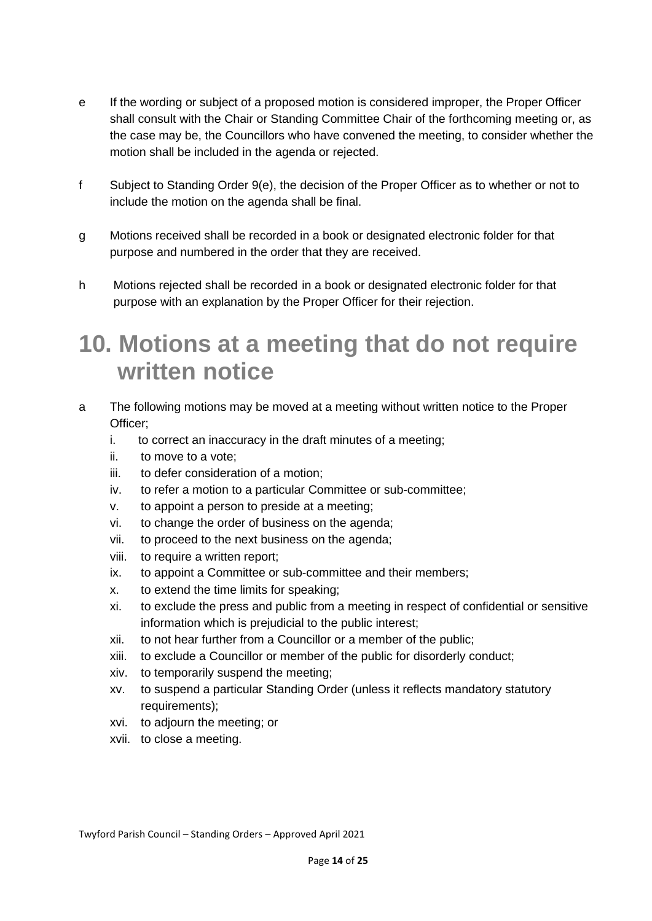- e If the wording or subject of a proposed motion is considered improper, the Proper Officer shall consult with the Chair or Standing Committee Chair of the forthcoming meeting or, as the case may be, the Councillors who have convened the meeting, to consider whether the motion shall be included in the agenda or rejected.
- f Subject to Standing Order 9(e), the decision of the Proper Officer as to whether or not to include the motion on the agenda shall be final.
- g Motions received shall be recorded in a book or designated electronic folder for that purpose and numbered in the order that they are received.
- h Motions rejected shall be recorded in a book or designated electronic folder for that purpose with an explanation by the Proper Officer for their rejection.

#### **10. Motions at a meeting that do not require written notice**

- a The following motions may be moved at a meeting without written notice to the Proper Officer;
	- i. to correct an inaccuracy in the draft minutes of a meeting;
	- ii. to move to a vote;
	- iii. to defer consideration of a motion;
	- iv. to refer a motion to a particular Committee or sub-committee;
	- v. to appoint a person to preside at a meeting;
	- vi. to change the order of business on the agenda;
	- vii. to proceed to the next business on the agenda;
	- viii. to require a written report;
	- ix. to appoint a Committee or sub-committee and their members;
	- x. to extend the time limits for speaking;
	- xi. to exclude the press and public from a meeting in respect of confidential or sensitive information which is prejudicial to the public interest;
	- xii. to not hear further from a Councillor or a member of the public;
	- xiii. to exclude a Councillor or member of the public for disorderly conduct;
	- xiv. to temporarily suspend the meeting;
	- xv. to suspend a particular Standing Order (unless it reflects mandatory statutory requirements);
	- xvi. to adjourn the meeting; or
	- xvii. to close a meeting.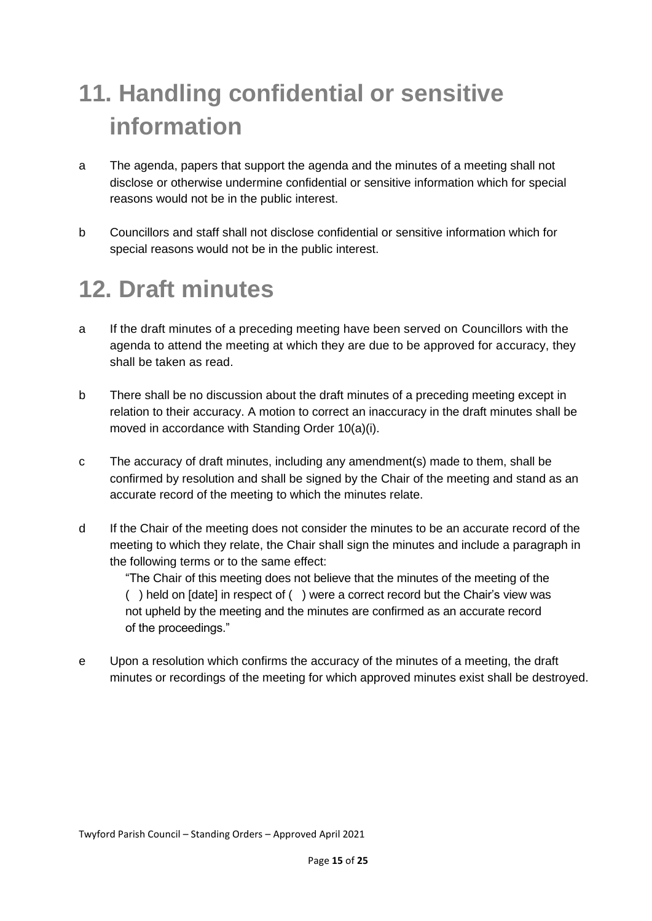# **11. Handling confidential or sensitive information**

- a The agenda, papers that support the agenda and the minutes of a meeting shall not disclose or otherwise undermine confidential or sensitive information which for special reasons would not be in the public interest.
- b Councillors and staff shall not disclose confidential or sensitive information which for special reasons would not be in the public interest.

## **12. Draft minutes**

- a If the draft minutes of a preceding meeting have been served on Councillors with the agenda to attend the meeting at which they are due to be approved for accuracy, they shall be taken as read.
- b There shall be no discussion about the draft minutes of a preceding meeting except in relation to their accuracy. A motion to correct an inaccuracy in the draft minutes shall be moved in accordance with Standing Order 10(a)(i).
- c The accuracy of draft minutes, including any amendment(s) made to them, shall be confirmed by resolution and shall be signed by the Chair of the meeting and stand as an accurate record of the meeting to which the minutes relate.
- d If the Chair of the meeting does not consider the minutes to be an accurate record of the meeting to which they relate, the Chair shall sign the minutes and include a paragraph in the following terms or to the same effect:

"The Chair of this meeting does not believe that the minutes of the meeting of the ( ) held on [date] in respect of ( ) were a correct record but the Chair's view was not upheld by the meeting and the minutes are confirmed as an accurate record of the proceedings."

e Upon a resolution which confirms the accuracy of the minutes of a meeting, the draft minutes or recordings of the meeting for which approved minutes exist shall be destroyed.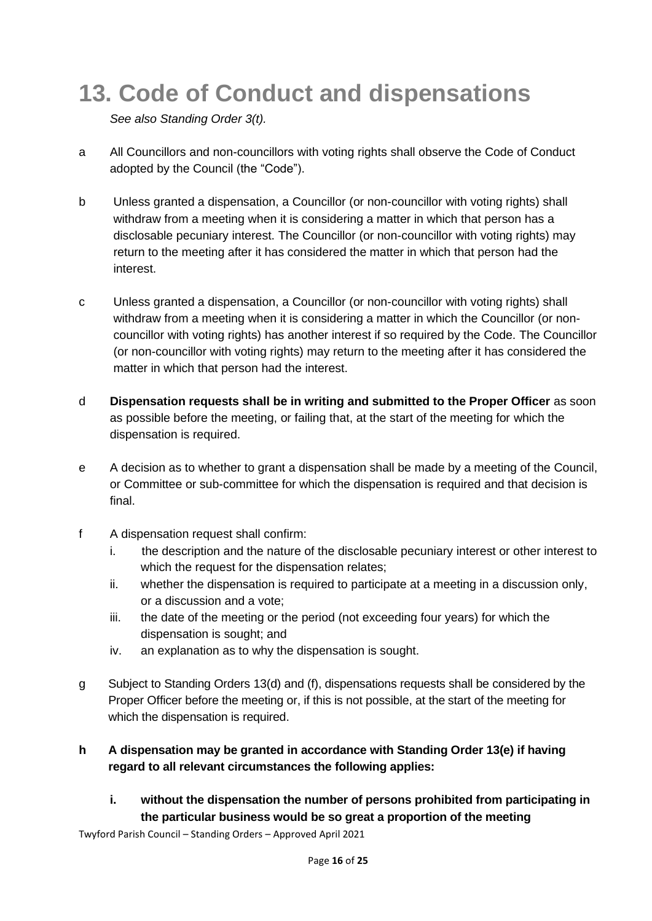# **13. Code of Conduct and dispensations**

*See also Standing Order 3(t).*

- a All Councillors and non-councillors with voting rights shall observe the Code of Conduct adopted by the Council (the "Code").
- b Unless granted a dispensation, a Councillor (or non-councillor with voting rights) shall withdraw from a meeting when it is considering a matter in which that person has a disclosable pecuniary interest. The Councillor (or non-councillor with voting rights) may return to the meeting after it has considered the matter in which that person had the interest.
- c Unless granted a dispensation, a Councillor (or non-councillor with voting rights) shall withdraw from a meeting when it is considering a matter in which the Councillor (or noncouncillor with voting rights) has another interest if so required by the Code. The Councillor (or non-councillor with voting rights) may return to the meeting after it has considered the matter in which that person had the interest.
- d **Dispensation requests shall be in writing and submitted to the Proper Officer** as soon as possible before the meeting, or failing that, at the start of the meeting for which the dispensation is required.
- e A decision as to whether to grant a dispensation shall be made by a meeting of the Council, or Committee or sub-committee for which the dispensation is required and that decision is final.
- f A dispensation request shall confirm:
	- i. the description and the nature of the disclosable pecuniary interest or other interest to which the request for the dispensation relates;
	- ii. whether the dispensation is required to participate at a meeting in a discussion only, or a discussion and a vote;
	- iii. the date of the meeting or the period (not exceeding four years) for which the dispensation is sought; and
	- iv. an explanation as to why the dispensation is sought.
- g Subject to Standing Orders 13(d) and (f), dispensations requests shall be considered by the Proper Officer before the meeting or, if this is not possible, at the start of the meeting for which the dispensation is required.
- **h A dispensation may be granted in accordance with Standing Order 13(e) if having regard to all relevant circumstances the following applies:**
	- **i. without the dispensation the number of persons prohibited from participating in the particular business would be so great a proportion of the meeting**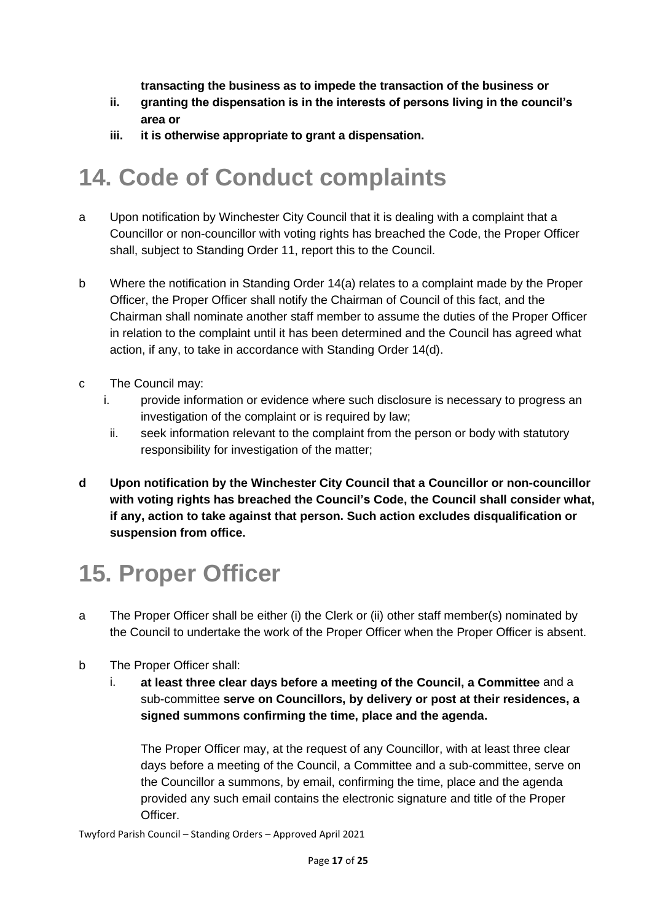**transacting the business as to impede the transaction of the business or**

- **ii. granting the dispensation is in the interests of persons living in the council's area or**
- **iii. it is otherwise appropriate to grant a dispensation.**

## **14. Code of Conduct complaints**

- a Upon notification by Winchester City Council that it is dealing with a complaint that a Councillor or non-councillor with voting rights has breached the Code, the Proper Officer shall, subject to Standing Order 11, report this to the Council.
- b Where the notification in Standing Order 14(a) relates to a complaint made by the Proper Officer, the Proper Officer shall notify the Chairman of Council of this fact, and the Chairman shall nominate another staff member to assume the duties of the Proper Officer in relation to the complaint until it has been determined and the Council has agreed what action, if any, to take in accordance with Standing Order 14(d).
- c The Council may:
	- i. provide information or evidence where such disclosure is necessary to progress an investigation of the complaint or is required by law;
	- ii. seek information relevant to the complaint from the person or body with statutory responsibility for investigation of the matter;
- **d Upon notification by the Winchester City Council that a Councillor or non-councillor with voting rights has breached the Council's Code, the Council shall consider what, if any, action to take against that person. Such action excludes disqualification or suspension from office.**

## **15. Proper Officer**

- a The Proper Officer shall be either (i) the Clerk or (ii) other staff member(s) nominated by the Council to undertake the work of the Proper Officer when the Proper Officer is absent.
- b The Proper Officer shall:
	- i. **at least three clear days before a meeting of the Council, a Committee** and a sub-committee **serve on Councillors, by delivery or post at their residences, a signed summons confirming the time, place and the agenda.**

The Proper Officer may, at the request of any Councillor, with at least three clear days before a meeting of the Council, a Committee and a sub-committee, serve on the Councillor a summons, by email, confirming the time, place and the agenda provided any such email contains the electronic signature and title of the Proper Officer.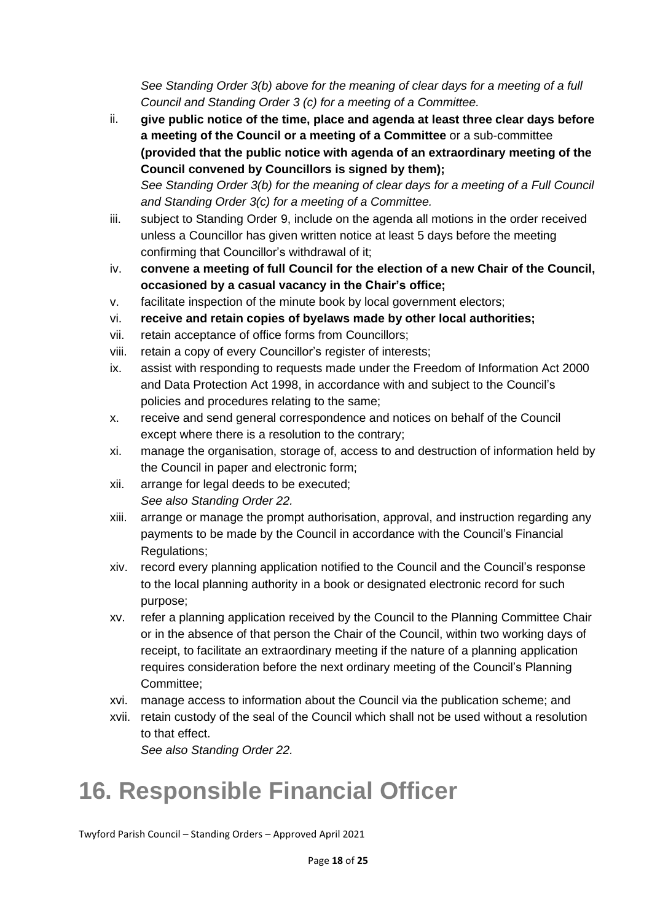*See Standing Order 3(b) above for the meaning of clear days for a meeting of a full Council and Standing Order 3 (c) for a meeting of a Committee.*

- ii. **give public notice of the time, place and agenda at least three clear days before a meeting of the Council or a meeting of a Committee** or a sub-committee **(provided that the public notice with agenda of an extraordinary meeting of the Council convened by Councillors is signed by them);** *See Standing Order 3(b) for the meaning of clear days for a meeting of a Full Council*
- *and Standing Order 3(c) for a meeting of a Committee.* iii. subject to Standing Order 9, include on the agenda all motions in the order received unless a Councillor has given written notice at least 5 days before the meeting confirming that Councillor's withdrawal of it;
- iv. **convene a meeting of full Council for the election of a new Chair of the Council, occasioned by a casual vacancy in the Chair's office;**
- v. facilitate inspection of the minute book by local government electors;
- vi. **receive and retain copies of byelaws made by other local authorities;**
- vii. retain acceptance of office forms from Councillors;
- viii. retain a copy of every Councillor's register of interests;
- ix. assist with responding to requests made under the Freedom of Information Act 2000 and Data Protection Act 1998, in accordance with and subject to the Council's policies and procedures relating to the same;
- x. receive and send general correspondence and notices on behalf of the Council except where there is a resolution to the contrary;
- xi. manage the organisation, storage of, access to and destruction of information held by the Council in paper and electronic form;
- xii. arrange for legal deeds to be executed; *See also Standing Order 22.*
- xiii. arrange or manage the prompt authorisation, approval, and instruction regarding any payments to be made by the Council in accordance with the Council's Financial Regulations;
- xiv. record every planning application notified to the Council and the Council's response to the local planning authority in a book or designated electronic record for such purpose;
- xv. refer a planning application received by the Council to the Planning Committee Chair or in the absence of that person the Chair of the Council, within two working days of receipt, to facilitate an extraordinary meeting if the nature of a planning application requires consideration before the next ordinary meeting of the Council's Planning Committee;
- xvi. manage access to information about the Council via the publication scheme; and
- xvii. retain custody of the seal of the Council which shall not be used without a resolution to that effect.

*See also Standing Order 22.*

# **16. Responsible Financial Officer**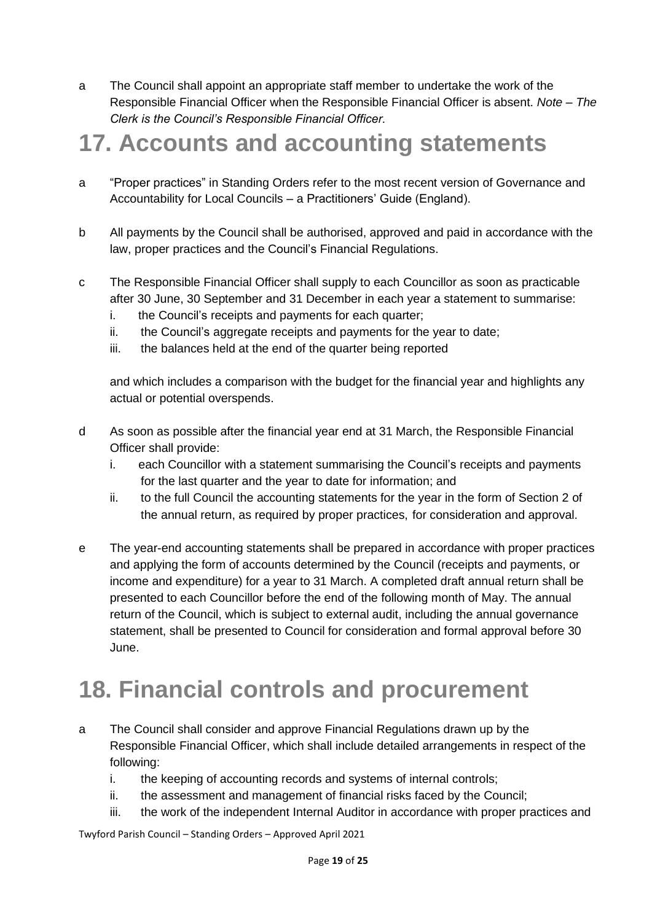a The Council shall appoint an appropriate staff member to undertake the work of the Responsible Financial Officer when the Responsible Financial Officer is absent. *Note – The Clerk is the Council's Responsible Financial Officer.*

#### **17. Accounts and accounting statements**

- a "Proper practices" in Standing Orders refer to the most recent version of Governance and Accountability for Local Councils – a Practitioners' Guide (England).
- b All payments by the Council shall be authorised, approved and paid in accordance with the law, proper practices and the Council's Financial Regulations.
- c The Responsible Financial Officer shall supply to each Councillor as soon as practicable after 30 June, 30 September and 31 December in each year a statement to summarise:
	- i. the Council's receipts and payments for each quarter;
	- ii. the Council's aggregate receipts and payments for the year to date;
	- iii. the balances held at the end of the quarter being reported

and which includes a comparison with the budget for the financial year and highlights any actual or potential overspends.

- d As soon as possible after the financial year end at 31 March, the Responsible Financial Officer shall provide:
	- i. each Councillor with a statement summarising the Council's receipts and payments for the last quarter and the year to date for information; and
	- ii. to the full Council the accounting statements for the year in the form of Section 2 of the annual return, as required by proper practices, for consideration and approval.
- e The year-end accounting statements shall be prepared in accordance with proper practices and applying the form of accounts determined by the Council (receipts and payments, or income and expenditure) for a year to 31 March. A completed draft annual return shall be presented to each Councillor before the end of the following month of May. The annual return of the Council, which is subject to external audit, including the annual governance statement, shall be presented to Council for consideration and formal approval before 30 June.

## **18. Financial controls and procurement**

- a The Council shall consider and approve Financial Regulations drawn up by the Responsible Financial Officer, which shall include detailed arrangements in respect of the following:
	- i. the keeping of accounting records and systems of internal controls;
	- ii. the assessment and management of financial risks faced by the Council;
	- iii. the work of the independent Internal Auditor in accordance with proper practices and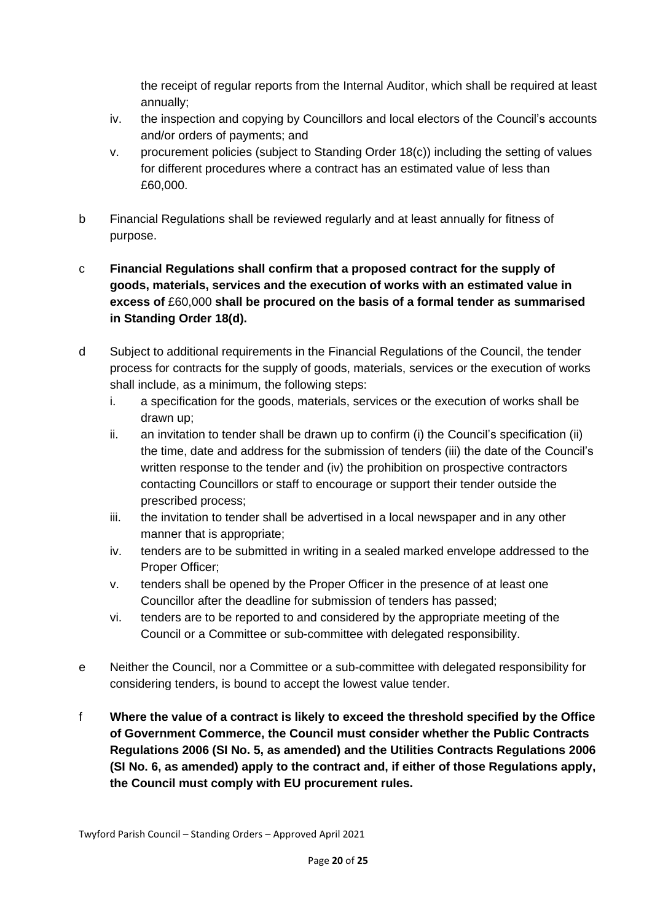the receipt of regular reports from the Internal Auditor, which shall be required at least annually;

- iv. the inspection and copying by Councillors and local electors of the Council's accounts and/or orders of payments; and
- v. procurement policies (subject to Standing Order 18(c)) including the setting of values for different procedures where a contract has an estimated value of less than £60,000.
- b Financial Regulations shall be reviewed regularly and at least annually for fitness of purpose.

#### c **Financial Regulations shall confirm that a proposed contract for the supply of goods, materials, services and the execution of works with an estimated value in excess of** £60,000 **shall be procured on the basis of a formal tender as summarised in Standing Order 18(d).**

- d Subject to additional requirements in the Financial Regulations of the Council, the tender process for contracts for the supply of goods, materials, services or the execution of works shall include, as a minimum, the following steps:
	- i. a specification for the goods, materials, services or the execution of works shall be drawn up;
	- ii. an invitation to tender shall be drawn up to confirm (i) the Council's specification (ii) the time, date and address for the submission of tenders (iii) the date of the Council's written response to the tender and (iv) the prohibition on prospective contractors contacting Councillors or staff to encourage or support their tender outside the prescribed process;
	- iii. the invitation to tender shall be advertised in a local newspaper and in any other manner that is appropriate;
	- iv. tenders are to be submitted in writing in a sealed marked envelope addressed to the Proper Officer;
	- v. tenders shall be opened by the Proper Officer in the presence of at least one Councillor after the deadline for submission of tenders has passed;
	- vi. tenders are to be reported to and considered by the appropriate meeting of the Council or a Committee or sub-committee with delegated responsibility.
- e Neither the Council, nor a Committee or a sub-committee with delegated responsibility for considering tenders, is bound to accept the lowest value tender.
- f **Where the value of a contract is likely to exceed the threshold specified by the Office of Government Commerce, the Council must consider whether the Public Contracts Regulations 2006 (SI No. 5, as amended) and the Utilities Contracts Regulations 2006 (SI No. 6, as amended) apply to the contract and, if either of those Regulations apply, the Council must comply with EU procurement rules.**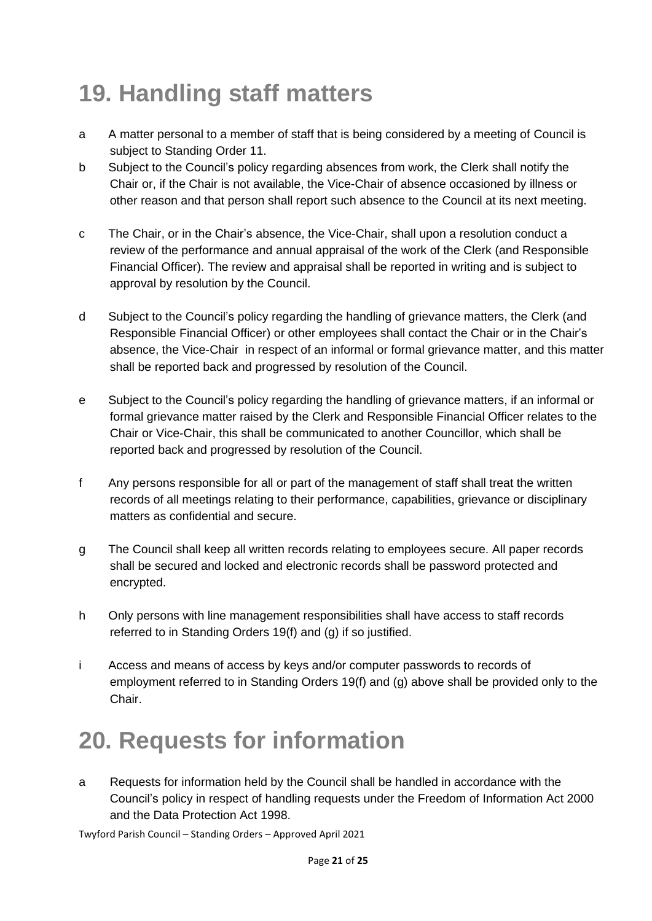# **19. Handling staff matters**

- a A matter personal to a member of staff that is being considered by a meeting of Council is subject to Standing Order 11.
- b Subject to the Council's policy regarding absences from work, the Clerk shall notify the Chair or, if the Chair is not available, the Vice-Chair of absence occasioned by illness or other reason and that person shall report such absence to the Council at its next meeting.
- c The Chair, or in the Chair's absence, the Vice-Chair, shall upon a resolution conduct a review of the performance and annual appraisal of the work of the Clerk (and Responsible Financial Officer). The review and appraisal shall be reported in writing and is subject to approval by resolution by the Council.
- d Subject to the Council's policy regarding the handling of grievance matters, the Clerk (and Responsible Financial Officer) or other employees shall contact the Chair or in the Chair's absence, the Vice-Chair in respect of an informal or formal grievance matter, and this matter shall be reported back and progressed by resolution of the Council.
- e Subject to the Council's policy regarding the handling of grievance matters, if an informal or formal grievance matter raised by the Clerk and Responsible Financial Officer relates to the Chair or Vice-Chair, this shall be communicated to another Councillor, which shall be reported back and progressed by resolution of the Council.
- f Any persons responsible for all or part of the management of staff shall treat the written records of all meetings relating to their performance, capabilities, grievance or disciplinary matters as confidential and secure.
- g The Council shall keep all written records relating to employees secure. All paper records shall be secured and locked and electronic records shall be password protected and encrypted.
- h Only persons with line management responsibilities shall have access to staff records referred to in Standing Orders 19(f) and (g) if so justified.
- i Access and means of access by keys and/or computer passwords to records of employment referred to in Standing Orders 19(f) and (g) above shall be provided only to the Chair.

# **20. Requests for information**

a Requests for information held by the Council shall be handled in accordance with the Council's policy in respect of handling requests under the Freedom of Information Act 2000 and the Data Protection Act 1998.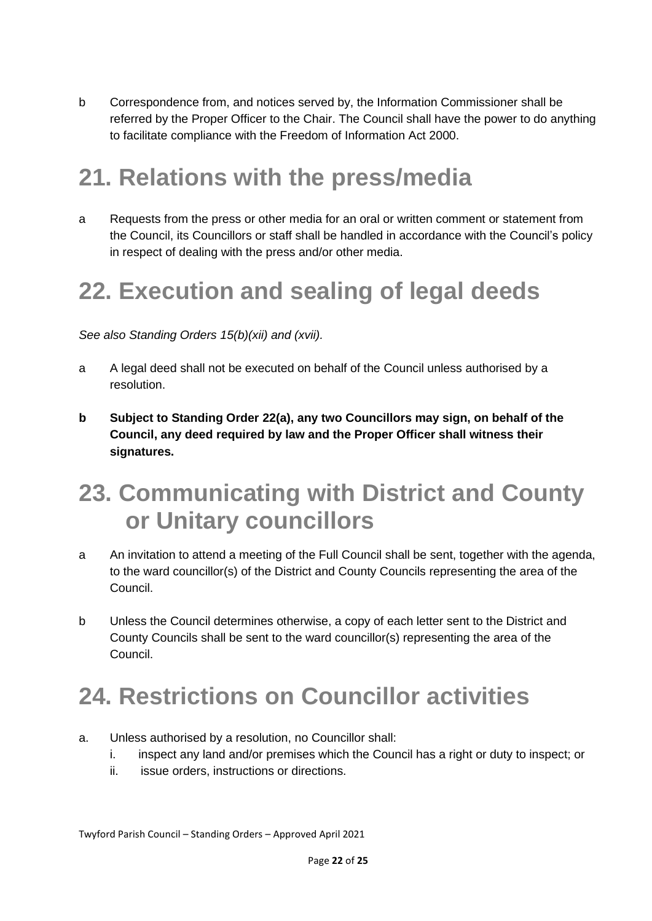b Correspondence from, and notices served by, the Information Commissioner shall be referred by the Proper Officer to the Chair. The Council shall have the power to do anything to facilitate compliance with the Freedom of Information Act 2000.

## **21. Relations with the press/media**

a Requests from the press or other media for an oral or written comment or statement from the Council, its Councillors or staff shall be handled in accordance with the Council's policy in respect of dealing with the press and/or other media.

# **22. Execution and sealing of legal deeds**

*See also Standing Orders 15(b)(xii) and (xvii).*

- a A legal deed shall not be executed on behalf of the Council unless authorised by a resolution.
- **b Subject to Standing Order 22(a), any two Councillors may sign, on behalf of the Council, any deed required by law and the Proper Officer shall witness their signatures.**

#### **23. Communicating with District and County or Unitary councillors**

- a An invitation to attend a meeting of the Full Council shall be sent, together with the agenda, to the ward councillor(s) of the District and County Councils representing the area of the Council.
- b Unless the Council determines otherwise, a copy of each letter sent to the District and County Councils shall be sent to the ward councillor(s) representing the area of the Council.

## **24. Restrictions on Councillor activities**

- a. Unless authorised by a resolution, no Councillor shall:
	- i. inspect any land and/or premises which the Council has a right or duty to inspect; or
	- ii. issue orders, instructions or directions.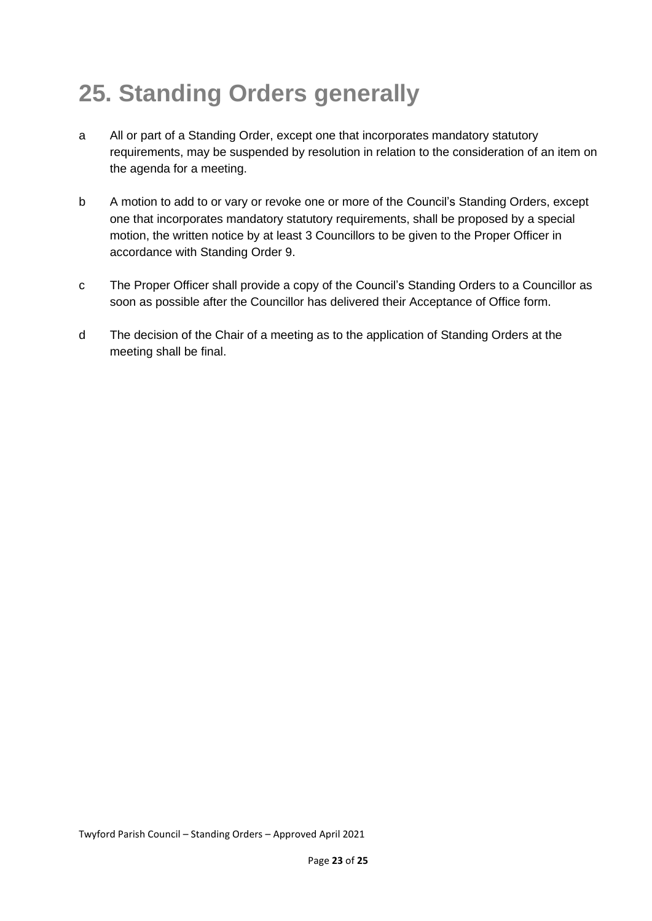# **25. Standing Orders generally**

- a All or part of a Standing Order, except one that incorporates mandatory statutory requirements, may be suspended by resolution in relation to the consideration of an item on the agenda for a meeting.
- b A motion to add to or vary or revoke one or more of the Council's Standing Orders, except one that incorporates mandatory statutory requirements, shall be proposed by a special motion, the written notice by at least 3 Councillors to be given to the Proper Officer in accordance with Standing Order 9.
- c The Proper Officer shall provide a copy of the Council's Standing Orders to a Councillor as soon as possible after the Councillor has delivered their Acceptance of Office form.
- d The decision of the Chair of a meeting as to the application of Standing Orders at the meeting shall be final.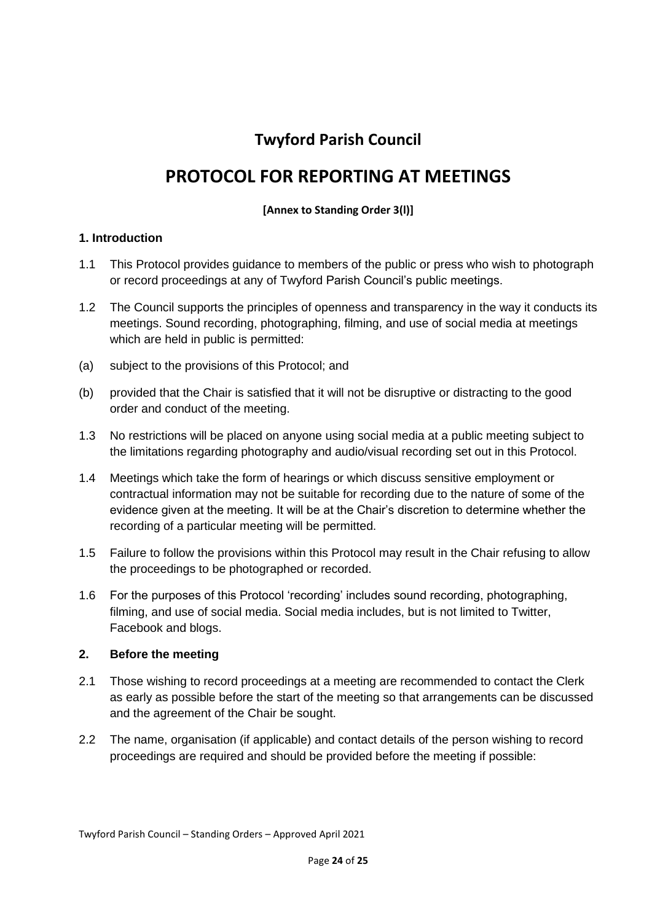#### **Twyford Parish Council**

#### **PROTOCOL FOR REPORTING AT MEETINGS**

#### **[Annex to Standing Order 3(l)]**

#### **1. Introduction**

- 1.1 This Protocol provides guidance to members of the public or press who wish to photograph or record proceedings at any of Twyford Parish Council's public meetings.
- 1.2 The Council supports the principles of openness and transparency in the way it conducts its meetings. Sound recording, photographing, filming, and use of social media at meetings which are held in public is permitted:
- (a) subject to the provisions of this Protocol; and
- (b) provided that the Chair is satisfied that it will not be disruptive or distracting to the good order and conduct of the meeting.
- 1.3 No restrictions will be placed on anyone using social media at a public meeting subject to the limitations regarding photography and audio/visual recording set out in this Protocol.
- 1.4 Meetings which take the form of hearings or which discuss sensitive employment or contractual information may not be suitable for recording due to the nature of some of the evidence given at the meeting. It will be at the Chair's discretion to determine whether the recording of a particular meeting will be permitted.
- 1.5 Failure to follow the provisions within this Protocol may result in the Chair refusing to allow the proceedings to be photographed or recorded.
- 1.6 For the purposes of this Protocol 'recording' includes sound recording, photographing, filming, and use of social media. Social media includes, but is not limited to Twitter, Facebook and blogs.

#### **2. Before the meeting**

- 2.1 Those wishing to record proceedings at a meeting are recommended to contact the Clerk as early as possible before the start of the meeting so that arrangements can be discussed and the agreement of the Chair be sought.
- 2.2 The name, organisation (if applicable) and contact details of the person wishing to record proceedings are required and should be provided before the meeting if possible: